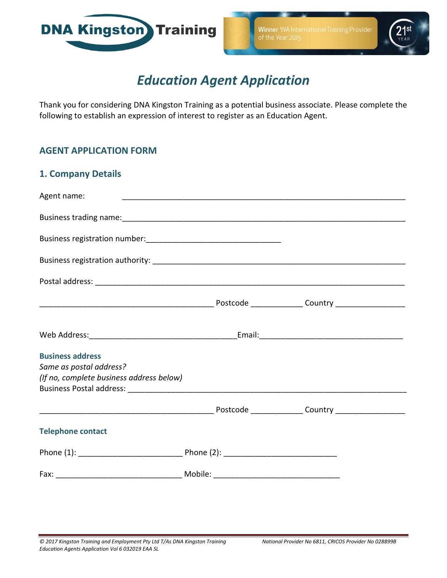



# *Education Agent Application*

Thank you for considering DNA Kingston Training as a potential business associate. Please complete the following to establish an expression of interest to register as an Education Agent.

## **AGENT APPLICATION FORM**

| <b>1. Company Details</b>                |  |  |  |
|------------------------------------------|--|--|--|
| Agent name:                              |  |  |  |
|                                          |  |  |  |
|                                          |  |  |  |
|                                          |  |  |  |
|                                          |  |  |  |
|                                          |  |  |  |
|                                          |  |  |  |
| <b>Business address</b>                  |  |  |  |
| Same as postal address?                  |  |  |  |
| (If no, complete business address below) |  |  |  |
|                                          |  |  |  |
| <b>Telephone contact</b>                 |  |  |  |
|                                          |  |  |  |
|                                          |  |  |  |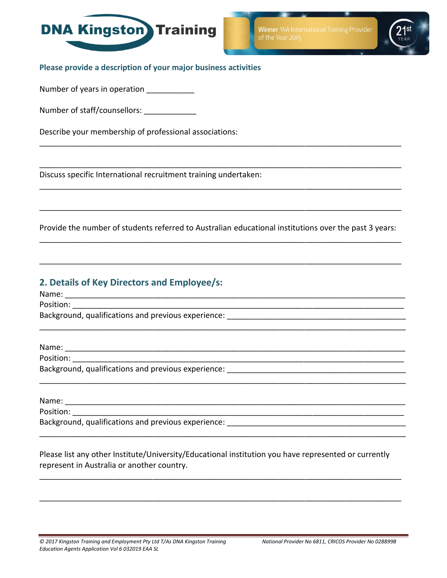

**Winner** WA International Training Provider



**Please provide a description of your major business activities**

Number of years in operation

Number of staff/counsellors: \_\_\_\_\_\_\_\_\_\_\_\_\_\_

Describe your membership of professional associations:

Discuss specific International recruitment training undertaken:

Provide the number of students referred to Australian educational institutions over the past 3 years: \_\_\_\_\_\_\_\_\_\_\_\_\_\_\_\_\_\_\_\_\_\_\_\_\_\_\_\_\_\_\_\_\_\_\_\_\_\_\_\_\_\_\_\_\_\_\_\_\_\_\_\_\_\_\_\_\_\_\_\_\_\_\_\_\_\_\_\_\_\_\_\_\_\_\_\_\_\_\_\_\_\_\_

\_\_\_\_\_\_\_\_\_\_\_\_\_\_\_\_\_\_\_\_\_\_\_\_\_\_\_\_\_\_\_\_\_\_\_\_\_\_\_\_\_\_\_\_\_\_\_\_\_\_\_\_\_\_\_\_\_\_\_\_\_\_\_\_\_\_\_\_\_\_\_\_\_\_\_\_\_\_\_\_\_\_\_

\_\_\_\_\_\_\_\_\_\_\_\_\_\_\_\_\_\_\_\_\_\_\_\_\_\_\_\_\_\_\_\_\_\_\_\_\_\_\_\_\_\_\_\_\_\_\_\_\_\_\_\_\_\_\_\_\_\_\_\_\_\_\_\_\_\_\_\_\_\_\_\_\_\_\_\_\_\_\_\_\_\_\_\_

\_\_\_\_\_\_\_\_\_\_\_\_\_\_\_\_\_\_\_\_\_\_\_\_\_\_\_\_\_\_\_\_\_\_\_\_\_\_\_\_\_\_\_\_\_\_\_\_\_\_\_\_\_\_\_\_\_\_\_\_\_\_\_\_\_\_\_\_\_\_\_\_\_\_\_\_\_\_\_\_\_\_\_\_

\_\_\_\_\_\_\_\_\_\_\_\_\_\_\_\_\_\_\_\_\_\_\_\_\_\_\_\_\_\_\_\_\_\_\_\_\_\_\_\_\_\_\_\_\_\_\_\_\_\_\_\_\_\_\_\_\_\_\_\_\_\_\_\_\_\_\_\_\_\_\_\_\_\_\_\_\_\_\_\_\_\_\_\_

\_\_\_\_\_\_\_\_\_\_\_\_\_\_\_\_\_\_\_\_\_\_\_\_\_\_\_\_\_\_\_\_\_\_\_\_\_\_\_\_\_\_\_\_\_\_\_\_\_\_\_\_\_\_\_\_\_\_\_\_\_\_\_\_\_\_\_\_\_\_\_\_\_\_\_\_\_\_\_\_\_\_\_

\_\_\_\_\_\_\_\_\_\_\_\_\_\_\_\_\_\_\_\_\_\_\_\_\_\_\_\_\_\_\_\_\_\_\_\_\_\_\_\_\_\_\_\_\_\_\_\_\_\_\_\_\_\_\_\_\_\_\_\_\_\_\_\_\_\_\_\_\_\_\_\_\_\_\_\_\_\_\_\_\_\_\_

\_\_\_\_\_\_\_\_\_\_\_\_\_\_\_\_\_\_\_\_\_\_\_\_\_\_\_\_\_\_\_\_\_\_\_\_\_\_\_\_\_\_\_\_\_\_\_\_\_\_\_\_\_\_\_\_\_\_\_\_\_\_\_\_\_\_\_\_\_\_\_\_\_\_\_\_\_\_\_\_\_\_\_

\_\_\_\_\_\_\_\_\_\_\_\_\_\_\_\_\_\_\_\_\_\_\_\_\_\_\_\_\_\_\_\_\_\_\_\_\_\_\_\_\_\_\_\_\_\_\_\_\_\_\_\_\_\_\_\_\_\_\_\_\_\_\_\_\_\_\_\_\_\_\_\_\_\_\_\_\_\_\_\_\_\_\_

## **2. Details of Key Directors and Employee/s:**

Name: \_\_\_\_\_\_\_\_\_\_\_\_\_\_\_\_\_\_\_\_\_\_\_\_\_\_\_\_\_\_\_\_\_\_\_\_\_\_\_\_\_\_\_\_\_\_\_\_\_\_\_\_\_\_\_\_\_\_\_\_\_\_\_\_\_\_\_\_\_\_\_\_\_\_\_\_\_\_

Position: \_\_\_\_\_\_\_\_\_\_\_\_\_\_\_\_\_\_\_\_\_\_\_\_\_\_\_\_\_\_\_\_\_\_\_\_\_\_\_\_\_\_\_\_\_\_\_\_\_\_\_\_\_\_\_\_\_\_\_\_\_\_\_\_\_\_\_\_\_\_\_\_\_\_\_\_

Background, qualifications and previous experience:  $\blacksquare$ 

Name:

Position: where  $\overline{P}$ 

Background, qualifications and previous experience:  $\blacksquare$ 

Name:

Position: \_\_\_\_\_\_\_\_\_\_\_\_\_\_\_\_\_\_\_\_\_\_\_\_\_\_\_\_\_\_\_\_\_\_\_\_\_\_\_\_\_\_\_\_\_\_\_\_\_\_\_\_\_\_\_\_\_\_\_\_\_\_\_\_\_\_\_\_\_\_\_\_\_\_\_\_

Background, qualifications and previous experience:

Please list any other Institute/University/Educational institution you have represented or currently represent in Australia or another country.

\_\_\_\_\_\_\_\_\_\_\_\_\_\_\_\_\_\_\_\_\_\_\_\_\_\_\_\_\_\_\_\_\_\_\_\_\_\_\_\_\_\_\_\_\_\_\_\_\_\_\_\_\_\_\_\_\_\_\_\_\_\_\_\_\_\_\_\_\_\_\_\_\_\_\_\_\_\_\_\_\_\_\_

\_\_\_\_\_\_\_\_\_\_\_\_\_\_\_\_\_\_\_\_\_\_\_\_\_\_\_\_\_\_\_\_\_\_\_\_\_\_\_\_\_\_\_\_\_\_\_\_\_\_\_\_\_\_\_\_\_\_\_\_\_\_\_\_\_\_\_\_\_\_\_\_\_\_\_\_\_\_\_\_\_\_\_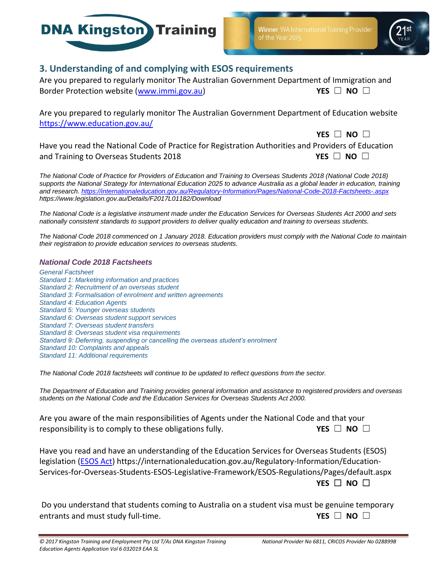



## **3. Understanding of and complying with ESOS requirements**

Are you prepared to regularly monitor The Australian Government Department of Immigration and Border Protection website [\(www.immi.gov.au\)](http://www.immi.gov.au/) **YES** ☐ **NO** ☐

Are you prepared to regularly monitor The Australian Government Department of Education website <https://www.education.gov.au/>

**YES** ☐ **NO** ☐ Have you read the National Code of Practice for Registration Authorities and Providers of Education and Training to Overseas Students 2018 **YES** □ NO □

*The National Code of Practice for Providers of Education and Training to Overseas Students 2018 (National Code 2018) supports the National Strategy for International Education 2025 to advance Australia as a global leader in education, training and research. <https://internationaleducation.gov.au/Regulatory-Information/Pages/National-Code-2018-Factsheets-.aspx> https://www.legislation.gov.au/Details/F2017L01182/Download*

*The National Code is a legislative instrument made under the Education Services for Overseas Students Act 2000 and sets nationally consistent standards to support providers to deliver quality education and training to overseas students.*

*The National Code 2018 commenced on 1 January 2018. Education providers must comply with the National Code to maintain their registration to provide education services to overseas students.*

#### *National Code 2018 Factsheets*

*[General Factsheet](https://internationaleducation.gov.au/Regulatory-Information/Documents/FINAL%20National%20Code%20Factsheet%20-%20General%20changes.pdf) [Standard 1: Marketing information and practices](https://internationaleducation.gov.au/Regulatory-Information/Documents/National%20Code%202018%20Factsheets/Standard%201.pdf) [Standard 2: Recruitment of an overseas student](https://internationaleducation.gov.au/Regulatory-Information/Documents/National%20Code%202018%20Factsheets/Standard%202.pdf) [Standard 3: Formalisation of enrolment and written agreements](https://internationaleducation.gov.au/Regulatory-Information/Documents/National%20Code%202018%20Factsheets/Standard%203.pdf) Standard 4: [Education Agents](https://internationaleducation.gov.au/Regulatory-Information/Documents/National%20Code%202018%20Factsheets/Standard%204.pdf) [Standard 5: Younger overseas students](https://internationaleducation.gov.au/Regulatory-Information/Documents/National%20Code%202018%20Factsheets/Standard%205.pdf) [Standard 6: Overseas student support services](https://internationaleducation.gov.au/Regulatory-Information/Documents/National%20Code%202018%20Factsheets/Standard%206.pdf) [Standard 7: Overseas student transfers](https://internationaleducation.gov.au/Regulatory-Information/Documents/National%20Code%202018%20Factsheets/Standard%207.pdf) [Standard 8: Overseas student visa requirements](https://internationaleducation.gov.au/Regulatory-Information/Documents/National%20Code%202018%20Factsheets/Standard%208.pdf) [Standard 9: Deferring, suspending or cancelling the overseas student's enrolment](https://internationaleducation.gov.au/Regulatory-Information/Documents/National%20Code%202018%20Factsheets/Standard%209.pdf) [Standard 10: Complaints and appeals](https://internationaleducation.gov.au/Regulatory-Information/Documents/National%20Code%202018%20Factsheets/Standard%2010.pdf) [Standard 11: Additional requirements](https://internationaleducation.gov.au/Regulatory-Information/Documents/National%20Code%202018%20Factsheets/Standard%2011.pdf)*

*The National Code 2018 factsheets will continue to be updated to reflect questions from the sector.* 

*The Department of Education and Training provides general information and assistance to registered providers and overseas students on the National Code and the Education Services for Overseas Students Act 2000.*

Are you aware of the main responsibilities of Agents under the National Code and that your **F** responsibility is to comply to these obligations fully. **YES** □ NO □

Have you read and have an understanding of the Education Services for Overseas Students (ESOS) legislation (**ESOS Act**) https://internationaleducation.gov.au/Regulatory-Information/Education-Services-for-Overseas-Students-ESOS-Legislative-Framework/ESOS-Regulations/Pages/default.aspx **YES** ☐ **NO** ☐

Do you understand that students coming to Australia on a student visa must be genuine temporary entrants and must study full-time. **YES** ☐ **NO** ☐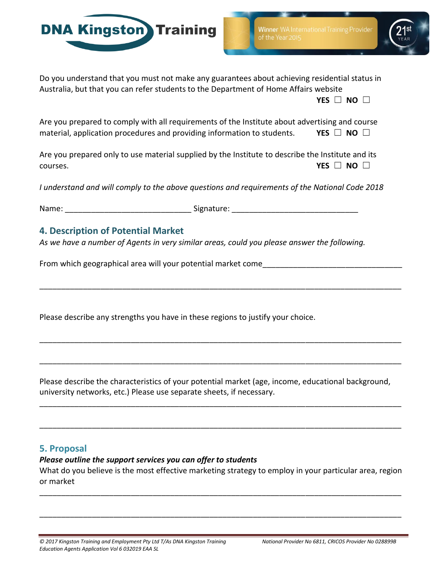



Do you understand that you must not make any guarantees about achieving residential status in Australia, but that you can refer students to the Department of Home Affairs website

**YES** ☐ **NO** ☐

Are you prepared to comply with all requirements of the Institute about advertising and course material, application procedures and providing information to students. **YES**  $\Box$  **NO**  $\Box$ 

Are you prepared only to use material supplied by the Institute to describe the Institute and its **courses. YES** □ **NO** □

*I understand and will comply to the above questions and requirements of the National Code 2018*

Name: \_\_\_\_\_\_\_\_\_\_\_\_\_\_\_\_\_\_\_\_\_\_\_\_\_\_\_\_\_ Signature: \_\_\_\_\_\_\_\_\_\_\_\_\_\_\_\_\_\_\_\_\_\_\_\_\_\_\_\_\_

## **4. Description of Potential Market**

*As we have a number of Agents in very similar areas, could you please answer the following.*

From which geographical area will your potential market come

Please describe any strengths you have in these regions to justify your choice.

Please describe the characteristics of your potential market (age, income, educational background, university networks, etc.) Please use separate sheets, if necessary.

\_\_\_\_\_\_\_\_\_\_\_\_\_\_\_\_\_\_\_\_\_\_\_\_\_\_\_\_\_\_\_\_\_\_\_\_\_\_\_\_\_\_\_\_\_\_\_\_\_\_\_\_\_\_\_\_\_\_\_\_\_\_\_\_\_\_\_\_\_\_\_\_\_\_\_\_\_\_\_\_\_\_\_

\_\_\_\_\_\_\_\_\_\_\_\_\_\_\_\_\_\_\_\_\_\_\_\_\_\_\_\_\_\_\_\_\_\_\_\_\_\_\_\_\_\_\_\_\_\_\_\_\_\_\_\_\_\_\_\_\_\_\_\_\_\_\_\_\_\_\_\_\_\_\_\_\_\_\_\_\_\_\_\_\_\_\_

\_\_\_\_\_\_\_\_\_\_\_\_\_\_\_\_\_\_\_\_\_\_\_\_\_\_\_\_\_\_\_\_\_\_\_\_\_\_\_\_\_\_\_\_\_\_\_\_\_\_\_\_\_\_\_\_\_\_\_\_\_\_\_\_\_\_\_\_\_\_\_\_\_\_\_\_\_\_\_\_\_\_\_

\_\_\_\_\_\_\_\_\_\_\_\_\_\_\_\_\_\_\_\_\_\_\_\_\_\_\_\_\_\_\_\_\_\_\_\_\_\_\_\_\_\_\_\_\_\_\_\_\_\_\_\_\_\_\_\_\_\_\_\_\_\_\_\_\_\_\_\_\_\_\_\_\_\_\_\_\_\_\_\_\_\_\_

\_\_\_\_\_\_\_\_\_\_\_\_\_\_\_\_\_\_\_\_\_\_\_\_\_\_\_\_\_\_\_\_\_\_\_\_\_\_\_\_\_\_\_\_\_\_\_\_\_\_\_\_\_\_\_\_\_\_\_\_\_\_\_\_\_\_\_\_\_\_\_\_\_\_\_\_\_\_\_\_\_\_\_

## **5. Proposal**

#### *Please outline the support services you can offer to students*

What do you believe is the most effective marketing strategy to employ in your particular area, region or market

\_\_\_\_\_\_\_\_\_\_\_\_\_\_\_\_\_\_\_\_\_\_\_\_\_\_\_\_\_\_\_\_\_\_\_\_\_\_\_\_\_\_\_\_\_\_\_\_\_\_\_\_\_\_\_\_\_\_\_\_\_\_\_\_\_\_\_\_\_\_\_\_\_\_\_\_\_\_\_\_\_\_\_

\_\_\_\_\_\_\_\_\_\_\_\_\_\_\_\_\_\_\_\_\_\_\_\_\_\_\_\_\_\_\_\_\_\_\_\_\_\_\_\_\_\_\_\_\_\_\_\_\_\_\_\_\_\_\_\_\_\_\_\_\_\_\_\_\_\_\_\_\_\_\_\_\_\_\_\_\_\_\_\_\_\_\_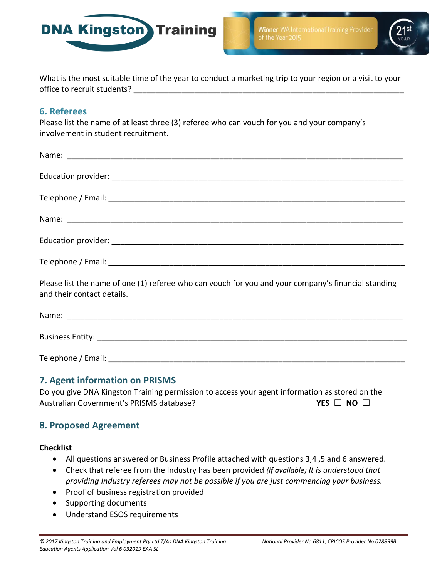



What is the most suitable time of the year to conduct a marketing trip to your region or a visit to your office to recruit students? **Example 20** 

## **6. Referees**

Please list the name of at least three (3) referee who can vouch for you and your company's involvement in student recruitment.

| Please list the name of one (1) referee who can vouch for you and your company's financial standing<br>and their contact details. |
|-----------------------------------------------------------------------------------------------------------------------------------|
|                                                                                                                                   |

| Name:            |  |  |  |
|------------------|--|--|--|
|                  |  |  |  |
| Business Entity: |  |  |  |
|                  |  |  |  |

Telephone / Email: **Example 2018** 

## **7. Agent information on PRISMS**

Do you give DNA Kingston Training permission to access your agent information as stored on the Australian Government's PRISMS database? **YES** ☐ **NO** ☐

## **8. Proposed Agreement**

#### **Checklist**

- All questions answered or Business Profile attached with questions 3,4 ,5 and 6 answered.
- Check that referee from the Industry has been provided *(if available) It is understood that providing Industry referees may not be possible if you are just commencing your business.*
- Proof of business registration provided
- Supporting documents
- Understand ESOS requirements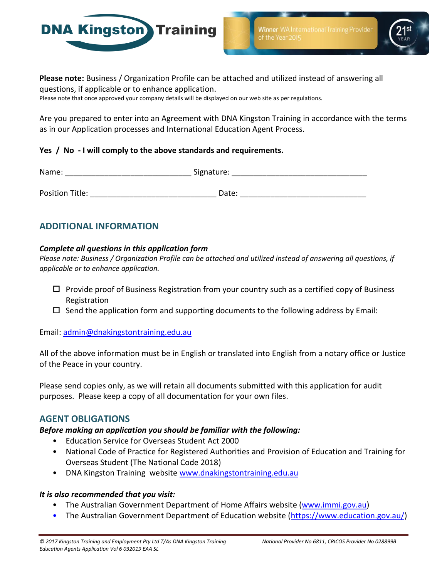

**Winner** WA International Training Provider



**Please note:** Business / Organization Profile can be attached and utilized instead of answering all questions, if applicable or to enhance application.

Please note that once approved your company details will be displayed on our web site as per regulations.

Are you prepared to enter into an Agreement with DNA Kingston Training in accordance with the terms as in our Application processes and International Education Agent Process.

#### **Yes / No - I will comply to the above standards and requirements.**

| Name:           | Signature: |  |
|-----------------|------------|--|
|                 |            |  |
| Position Title: | Date:      |  |

## **ADDITIONAL INFORMATION**

#### *Complete all questions in this application form*

*Please note: Business / Organization Profile can be attached and utilized instead of answering all questions, if applicable or to enhance application.*

- $\Box$  Provide proof of Business Registration from your country such as a certified copy of Business Registration
- $\square$  Send the application form and supporting documents to the following address by Email:

Email: [admin@dnakingstontraining.edu.au](mailto:admin@dnakingstontraining.edu.au)

All of the above information must be in English or translated into English from a notary office or Justice of the Peace in your country.

Please send copies only, as we will retain all documents submitted with this application for audit purposes. Please keep a copy of all documentation for your own files.

## **AGENT OBLIGATIONS**

#### *Before making an application you should be familiar with the following:*

- Education Service for Overseas Student Act 2000
- National Code of Practice for Registered Authorities and Provision of Education and Training for Overseas Student (The National Code 2018)
- DNA Kingston Training website [www.dnakingstontraining.edu.au](http://www.dnakingstontraining.edu.au/)

#### *It is also recommended that you visit:*

- The Australian Government Department of Home Affairs website [\(www.immi.gov.au\)](http://www.immi.gov.au/)
- The Australian Government Department of Education website [\(https://www.education.gov.au/\)](https://www.education.gov.au/)